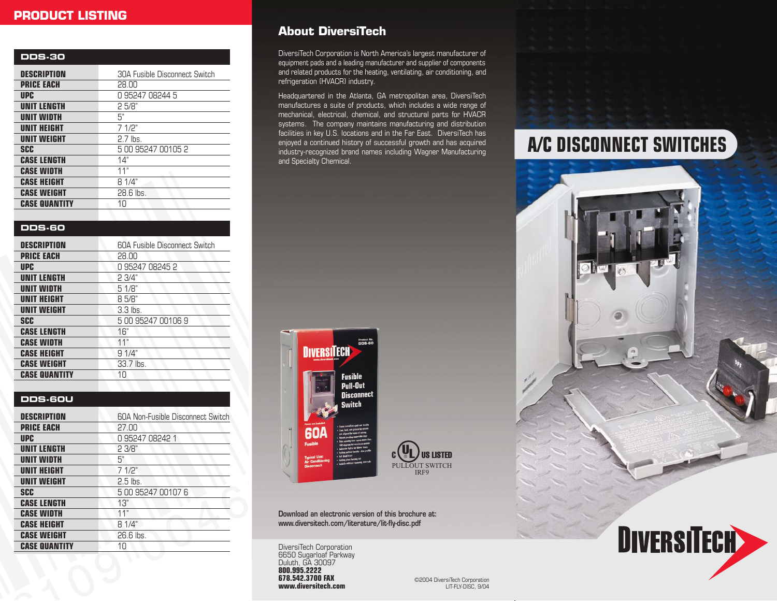# **PRODUCT LISTING**

| <b>DDS-30</b>        |                               |
|----------------------|-------------------------------|
| <b>DESCRIPTION</b>   | 30A Fusible Disconnect Switch |
| <b>PRICE EACH</b>    | 28.00                         |
| <b>UPC</b>           | 0 95247 08244 5               |
| <b>UNIT LENGTH</b>   | 25/8"                         |
| <b>UNIT WIDTH</b>    | 5"                            |
| <b>UNIT HEIGHT</b>   | 71/2"                         |
| <b>UNIT WEIGHT</b>   | $2.7$ lbs.                    |
| SCC                  | 5 00 95247 00105 2            |
| <b>CASE LENGTH</b>   | 14"                           |
| <b>CASE WIDTH</b>    | 11"                           |
| <b>CASE HEIGHT</b>   | 8 1/4"                        |
| <b>CASE WEIGHT</b>   | 28.6 lbs.                     |
| <b>CASE QUANTITY</b> | 10                            |
|                      |                               |

### **DDS-60**

| <b>DESCRIPTION</b>   | 60A Fusible Disconnect Switch |
|----------------------|-------------------------------|
| <b>PRICE EACH</b>    | 28.00                         |
| <b>UPC</b>           | 0 95247 08245 2               |
| <b>UNIT LENGTH</b>   | 23/4"                         |
| UNIT WIDTH           | 51/8"                         |
| <b>UNIT HEIGHT</b>   | 8 5/8"                        |
| <b>UNIT WEIGHT</b>   | $3.3$ lbs.                    |
| <b>SCC</b>           | 5 00 95247 00106 9            |
| <b>CASE LENGTH</b>   | 16"                           |
| <b>CASE WIDTH</b>    | 11"                           |
| <b>CASE HEIGHT</b>   | 91/4"                         |
| <b>CASE WEIGHT</b>   | 33.7 lbs.                     |
| <b>CASE QUANTITY</b> | 10                            |

### **DDS-60U**

| DESCRIPTION          | <b>60A Non-Fusible Disconnect Switch</b> |
|----------------------|------------------------------------------|
| <b>PRICE EACH</b>    | 27.00                                    |
| <b>UPC</b>           | 0 95247 08242 1                          |
| <b>UNIT LENGTH</b>   | 23/8"                                    |
| UNIT WIDTH           | 5"                                       |
| <b>UNIT HEIGHT</b>   | 7 1/2"                                   |
| <b>UNIT WEIGHT</b>   | $2.5$ lbs.                               |
| <b>SCC</b>           | 5 00 95247 00107 6                       |
| <b>CASE LENGTH</b>   | 13"                                      |
| <b>CASE WIDTH</b>    | 11"                                      |
| <b>CASE HEIGHT</b>   | 8 1/4"                                   |
| <b>CASE WEIGHT</b>   | 26.6 lbs.                                |
| <b>CASE QUANTITY</b> | $1 \cap$                                 |
|                      |                                          |

# **About DiversiTech**

DiversiTech Corporation is North America's largest manufacturer of equipment pads and a leading manufacturer and supplier of components and related products for the heating, ventilating, air conditioning, and refrigeration (HVACR) industry.

Headquartered in the Atlanta, GA metropolitan area, DiversiTech manufactures a suite of products, which includes a wide range of mechanical, electrical, chemical, and structural parts for HVACR systems. The company maintains manufacturing and distribution facilities in key U.S. locations and in the Far East. DiversiTech has enjoyed a continued history of successful growth and has acquired industry-recognized brand names including Wagner Manufacturing and Specialty Chemical.





**Download an electronic version of this brochure at: www.diversitech.com/literature/lit-fly-disc.pdf**

DiversiTech Corporation 6650 Sugarloaf Parkway Duluth, GA 30097 **800.995.2222 678.542.3700 FAX www.diversitech.com**

©2004 DiversiTech Corporation LIT-FLY-DISC, 9/04

# **A/C DISCONNECT SWITCHES**